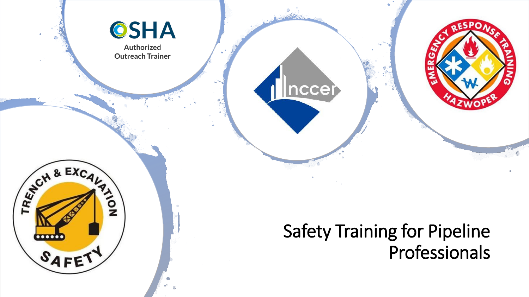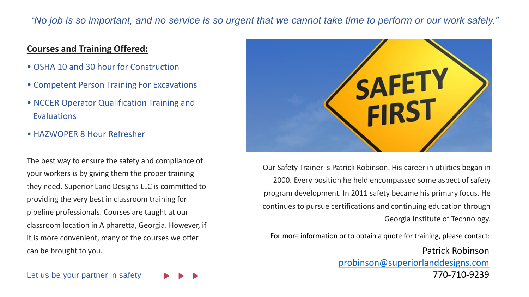#### *"No job is so important, and no service is so urgent that we cannot take time to perform or our work safely."*

#### **Courses and Training Offered:**

- OSHA 10 and 30 hour for Construction
- Competent Person Training For Excavations
- NCCER Operator Qualification Training and **Evaluations**
- HAZWOPER 8 Hour Refresher

The best way to ensure the safety and compliance of your workers is by giving them the proper training they need. Superior Land Designs LLC is committed to providing the very best in classroom training for pipeline professionals. Courses are taught at our classroom location in Alpharetta, Georgia. However, if it is more convenient, many of the courses we offer can be brought to you.



Our Safety Trainer is Patrick Robinson. His career in utilities began in 2000. Every position he held encompassed some aspect of safety program development. In 2011 safety became his primary focus. He continues to pursue certifications and continuing education through Georgia Institute of Technology.

For more information or to obtain a quote for training, please contact:

Patrick Robinson [probinson@superiorlanddesigns.com](mailto:probinson@superiorlanddesigns.com) 770-710-9239

Let us be your partner in safety

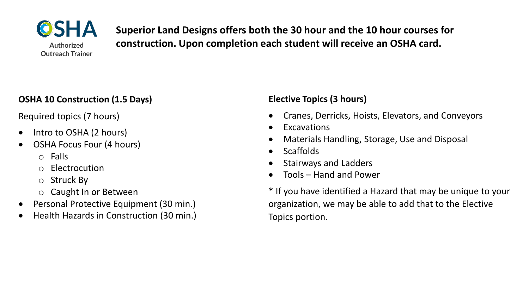

**Superior Land Designs offers both the 30 hour and the 10 hour courses for construction. Upon completion each student will receive an OSHA card.**

#### **OSHA 10 Construction (1.5 Days)**

Required topics (7 hours)

- Intro to OSHA (2 hours)
- OSHA Focus Four (4 hours)
	- o Falls
	- o Electrocution
	- o Struck By
	- o Caught In or Between
- Personal Protective Equipment (30 min.)
- Health Hazards in Construction (30 min.)

### **Elective Topics (3 hours)**

- Cranes, Derricks, Hoists, Elevators, and Conveyors
- **Excavations**
- Materials Handling, Storage, Use and Disposal
- Scaffolds
- Stairways and Ladders
- Tools Hand and Power

\* If you have identified a Hazard that may be unique to your organization, we may be able to add that to the Elective Topics portion.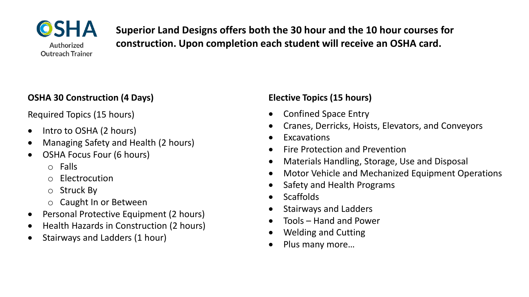

**Superior Land Designs offers both the 30 hour and the 10 hour courses for construction. Upon completion each student will receive an OSHA card.**

#### **OSHA 30 Construction (4 Days)**

Required Topics (15 hours)

- Intro to OSHA (2 hours)
- Managing Safety and Health (2 hours)
- OSHA Focus Four (6 hours)
	- o Falls
	- o Electrocution
	- o Struck By
	- o Caught In or Between
- Personal Protective Equipment (2 hours)
- Health Hazards in Construction (2 hours)
- Stairways and Ladders (1 hour)

### **Elective Topics (15 hours)**

- Confined Space Entry
- Cranes, Derricks, Hoists, Elevators, and Conveyors
- **Excavations**
- Fire Protection and Prevention
- Materials Handling, Storage, Use and Disposal
- Motor Vehicle and Mechanized Equipment Operations
- Safety and Health Programs
- Scaffolds
- Stairways and Ladders
- Tools Hand and Power
- Welding and Cutting
- Plus many more…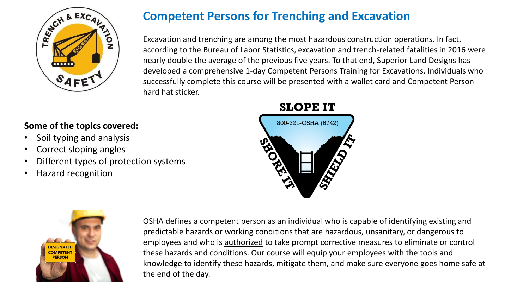

## **Competent Persons for Trenching and Excavation**

Excavation and trenching are among the most hazardous construction operations. In fact, according to the Bureau of Labor Statistics, excavation and trench-related fatalities in 2016 were nearly double the average of the previous five years. To that end, Superior Land Designs has developed a comprehensive 1-day Competent Persons Training for Excavations. Individuals who successfully complete this course will be presented with a wallet card and Competent Person hard hat sticker.

#### **Some of the topics covered:**

- Soil typing and analysis
- Correct sloping angles
- Different types of protection systems
- Hazard recognition





OSHA defines a competent person as an individual who is capable of identifying existing and predictable hazards or working conditions that are hazardous, unsanitary, or dangerous to employees and who is authorized to take prompt corrective measures to eliminate or control these hazards and conditions. Our course will equip your employees with the tools and knowledge to identify these hazards, mitigate them, and make sure everyone goes home safe at the end of the day.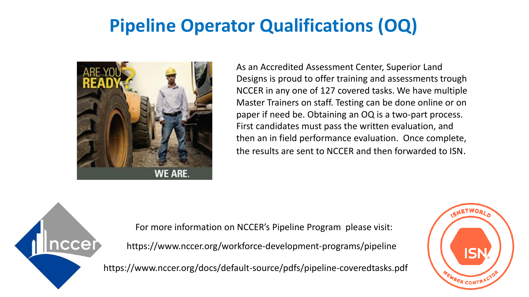# **Pipeline Operator Qualifications (OQ)**



As an Accredited Assessment Center, Superior Land Designs is proud to offer training and assessments trough NCCER in any one of 127 covered tasks. We have multiple Master Trainers on staff. Testing can be done online or on paper if need be. Obtaining an OQ is a two-part process. First candidates must pass the written evaluation, and then an in field performance evaluation. Once complete, the results are sent to NCCER and then forwarded to ISN.

nccer

For more information on NCCER's Pipeline Program please visit:

https://www.nccer.org/workforce-development-programs/pipeline

https://www.nccer.org/docs/default-source/pdfs/pipeline-coveredtasks.pdf